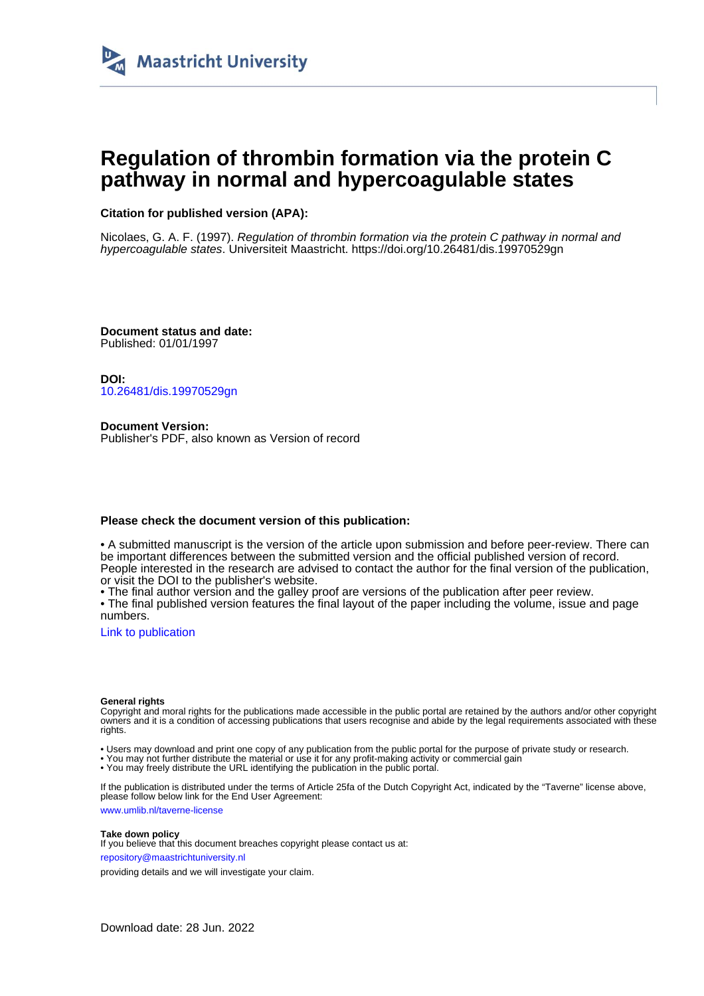

## **Regulation of thrombin formation via the protein C pathway in normal and hypercoagulable states**

### **Citation for published version (APA):**

Nicolaes, G. A. F. (1997). Regulation of thrombin formation via the protein C pathway in normal and hypercoagulable states. Universiteit Maastricht.<https://doi.org/10.26481/dis.19970529gn>

**Document status and date:** Published: 01/01/1997

**DOI:** [10.26481/dis.19970529gn](https://doi.org/10.26481/dis.19970529gn)

**Document Version:** Publisher's PDF, also known as Version of record

#### **Please check the document version of this publication:**

• A submitted manuscript is the version of the article upon submission and before peer-review. There can be important differences between the submitted version and the official published version of record. People interested in the research are advised to contact the author for the final version of the publication, or visit the DOI to the publisher's website.

• The final author version and the galley proof are versions of the publication after peer review.

• The final published version features the final layout of the paper including the volume, issue and page numbers.

[Link to publication](https://cris.maastrichtuniversity.nl/en/publications/6144d464-6d7a-49fa-a9ee-1535d0c43195)

#### **General rights**

Copyright and moral rights for the publications made accessible in the public portal are retained by the authors and/or other copyright owners and it is a condition of accessing publications that users recognise and abide by the legal requirements associated with these rights.

• Users may download and print one copy of any publication from the public portal for the purpose of private study or research.

• You may not further distribute the material or use it for any profit-making activity or commercial gain

• You may freely distribute the URL identifying the publication in the public portal.

If the publication is distributed under the terms of Article 25fa of the Dutch Copyright Act, indicated by the "Taverne" license above, please follow below link for the End User Agreement:

www.umlib.nl/taverne-license

#### **Take down policy**

If you believe that this document breaches copyright please contact us at: repository@maastrichtuniversity.nl

providing details and we will investigate your claim.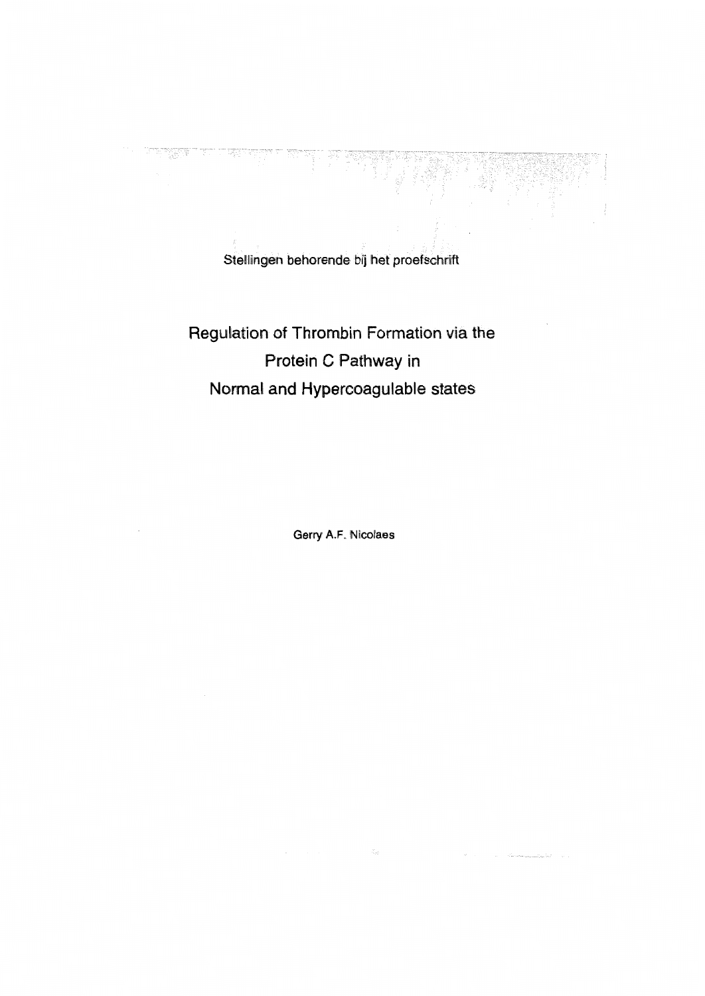Stellingen behorende bij het proefschrift

# Regulation of Thrombin Formation via the Protein C Pathway in Normal and Hypercoagulable states

Gerry A.F. Nicolaes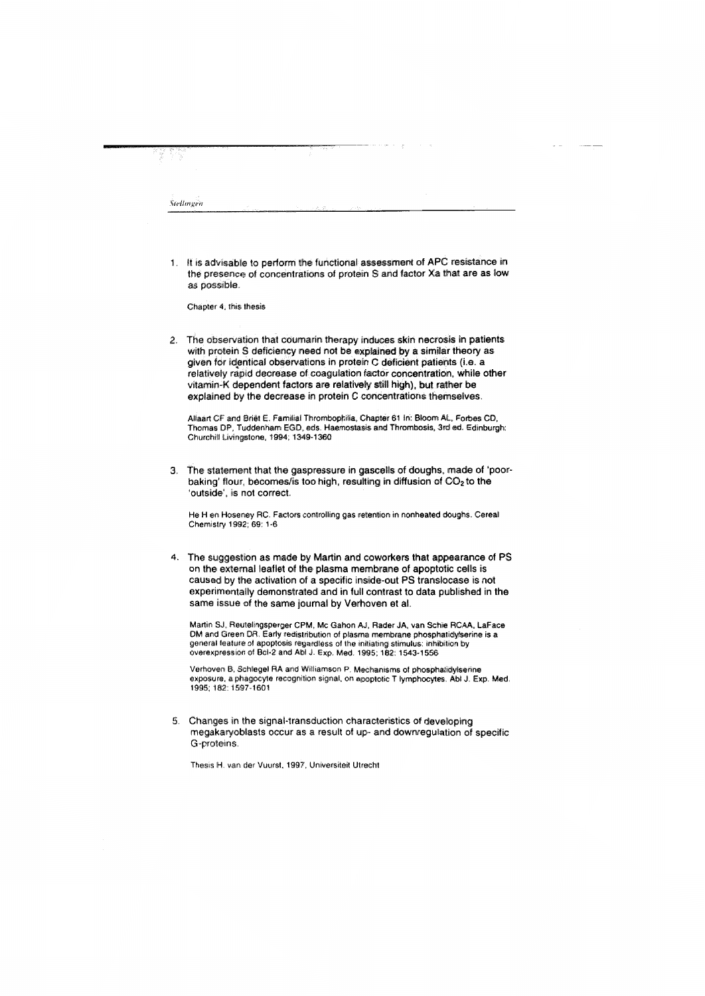1. It is advisable to perform the functional assessment of APC resistance in the presence of concentrations of protein S and factor Xa that are as low as possible.

Chapter 4; this thesis

2. The observation that coumarin therapy induces skin necrosis in patients with protein S deficiency need not be explained by a similar theory as given for identical observations in protein C deficient patients (i.e. a relatively rapid decrease of coaquiation factor concentration, while other vitamin-K dependent factors are relatively still high), but rather be explained by the decrease in protein C concentrations themselves.

Allaart CF and Briët E. Familial Thrombophilia, Chapter 61 In: Bloom AL, Forbes CD, Thomas DP, Tuddenham EGD, eds. Haemostasis and Thrombosis, 3rd ed. Edinburgh: Churchill Livingstone, 1994; 1349-1360

3. The statement that the gaspressure in gascells of doughs, made of 'poorbaking' flour, becomes/is too high, resulting in diffusion of CO<sub>2</sub> to the 'outside', is not correct.

He H en Hoseney RC. Factors controlling gas retention in nonheated doughs. Cereal Chemistry 1992; 69: 1-6

4. The suggestion as made by Martin and coworkers that appearance of PS on the external leaflet of the plasma membrane of apoptotic cells is caused by the activation of a specific inside-out PS translocase is not experimentally demonstrated and in full contrast to data published in the same issue of the same journal by Verhoven et al.

Martin SJ, Reutelingsperger CPM, Mc Gahon AJ, Rader JA, van Schie RCAA, LaFace DM and Green DR. Early redistribution of plasma membrane phosphatidylserine is a general leature of apoptosis regardless of the initiating stimulus: inhibition by overexpression of Bcl-2 and Abl J. Exp. Med. 1995; 182: 1543-1556

Verhoven B, Schlegel RA and Williamson P. Mechanisms of phosphatidylserine exposure, a phagocyte recognition signal, on apoptotic T lymphocytes. Abl J. Exp. Med. 1995; 182: 1597-1601

5. Changes in the signal-transduction characteristics of developing megakaryoblasts occur as a result of up- and downregulation of specific G-proteins.

Thesis H. van der Vuurst, 1997, Universiteit Utrecht